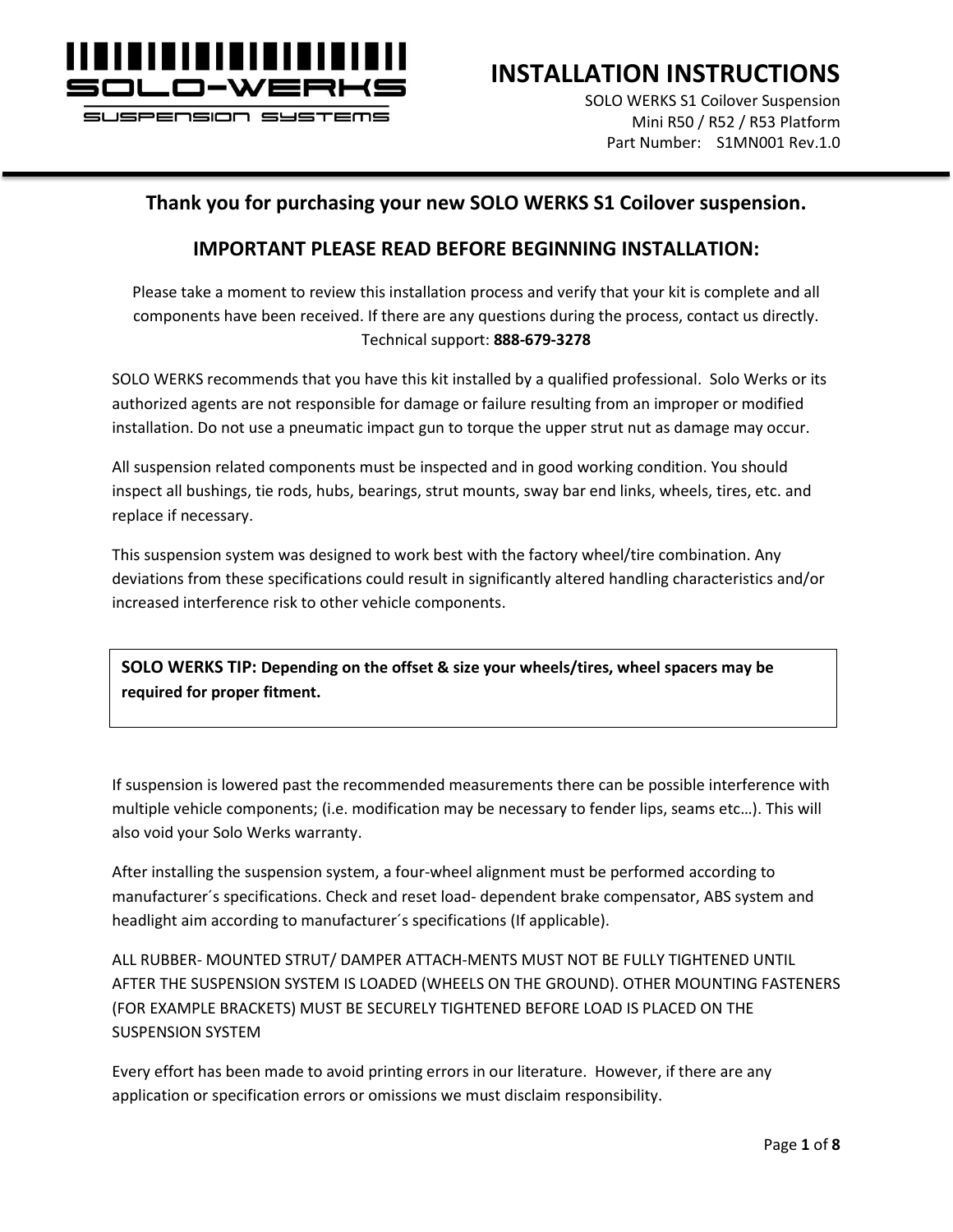

SUSPENSION SYSTEMS

**INSTALLATION INSTRUCTIONS**

SOLO WERKS S1 Coilover Suspension Mini R50 / R52 / R53 Platform Part Number: S1MN001 Rev.1.0

#### **Thank you for purchasing your new SOLO WERKS S1 Coilover suspension.**

#### **IMPORTANT PLEASE READ BEFORE BEGINNING INSTALLATION:**

Please take a moment to review this installation process and verify that your kit is complete and all components have been received. If there are any questions during the process, contact us directly. Technical support: **888-679-3278**

SOLO WERKS recommends that you have this kit installed by a qualified professional. Solo Werks or its authorized agents are not responsible for damage or failure resulting from an improper or modified installation. Do not use a pneumatic impact gun to torque the upper strut nut as damage may occur.

All suspension related components must be inspected and in good working condition. You should inspect all bushings, tie rods, hubs, bearings, strut mounts, sway bar end links, wheels, tires, etc. and replace if necessary.

This suspension system was designed to work best with the factory wheel/tire combination. Any deviations from these specifications could result in significantly altered handling characteristics and/or increased interference risk to other vehicle components.

**SOLO WERKS TIP: Depending on the offset & size your wheels/tires, wheel spacers may be required for proper fitment.**

If suspension is lowered past the recommended measurements there can be possible interference with multiple vehicle components; (i.e. modification may be necessary to fender lips, seams etc…). This will also void your Solo Werks warranty.

After installing the suspension system, a four-wheel alignment must be performed according to manufacturer´s specifications. Check and reset load- dependent brake compensator, ABS system and headlight aim according to manufacturer´s specifications (If applicable).

ALL RUBBER- MOUNTED STRUT/ DAMPER ATTACH-MENTS MUST NOT BE FULLY TIGHTENED UNTIL AFTER THE SUSPENSION SYSTEM IS LOADED (WHEELS ON THE GROUND). OTHER MOUNTING FASTENERS (FOR EXAMPLE BRACKETS) MUST BE SECURELY TIGHTENED BEFORE LOAD IS PLACED ON THE SUSPENSION SYSTEM

Every effort has been made to avoid printing errors in our literature. However, if there are any application or specification errors or omissions we must disclaim responsibility.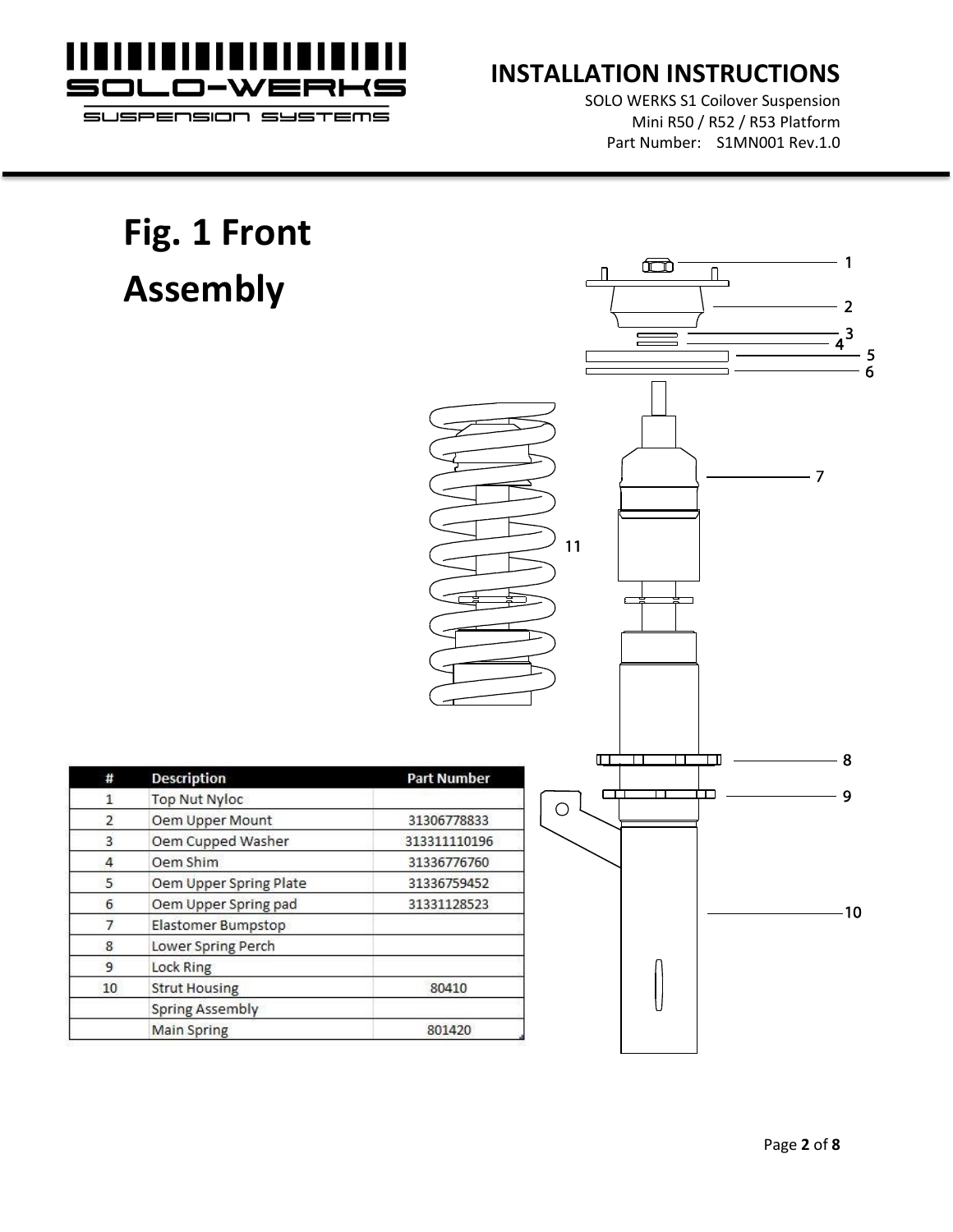

SOLO WERKS S1 Coilover Suspension Mini R50 / R52 / R53 Platform Part Number: S1MN001 Rev.1.0

> 5 6

#### **Fig. 1 Front**   $\blacksquare$ 1  $\overline{\mathbb{L}}$  $\Box$ **Assembly** $\overline{2}$  $\frac{1}{4}^{3}$  $-7$  $11$  $\Box$  $\overline{\mathsf{T}}$ ℸℸ - Œ 8 # **Description Part Number** ᡩ ᆂ  $\overline{9}$  $\bar{1}$ Top Nut Nyloc  $\bigcirc$  $\overline{2}$ Oem Upper Mount 31306778833 Oem Cupped Washer  $\overline{3}$ 313311110196  $\overline{4}$ Oem Shim 31336776760 5 Oem Upper Spring Plate 31336759452 Oem Upper Spring pad 6 31331128523 -10  $\overline{7}$ Elastomer Bumpstop 8 Lower Spring Perch  $\overline{9}$ Lock Ring  $10$ **Strut Housing** 80410 **Spring Assembly Main Spring** 801420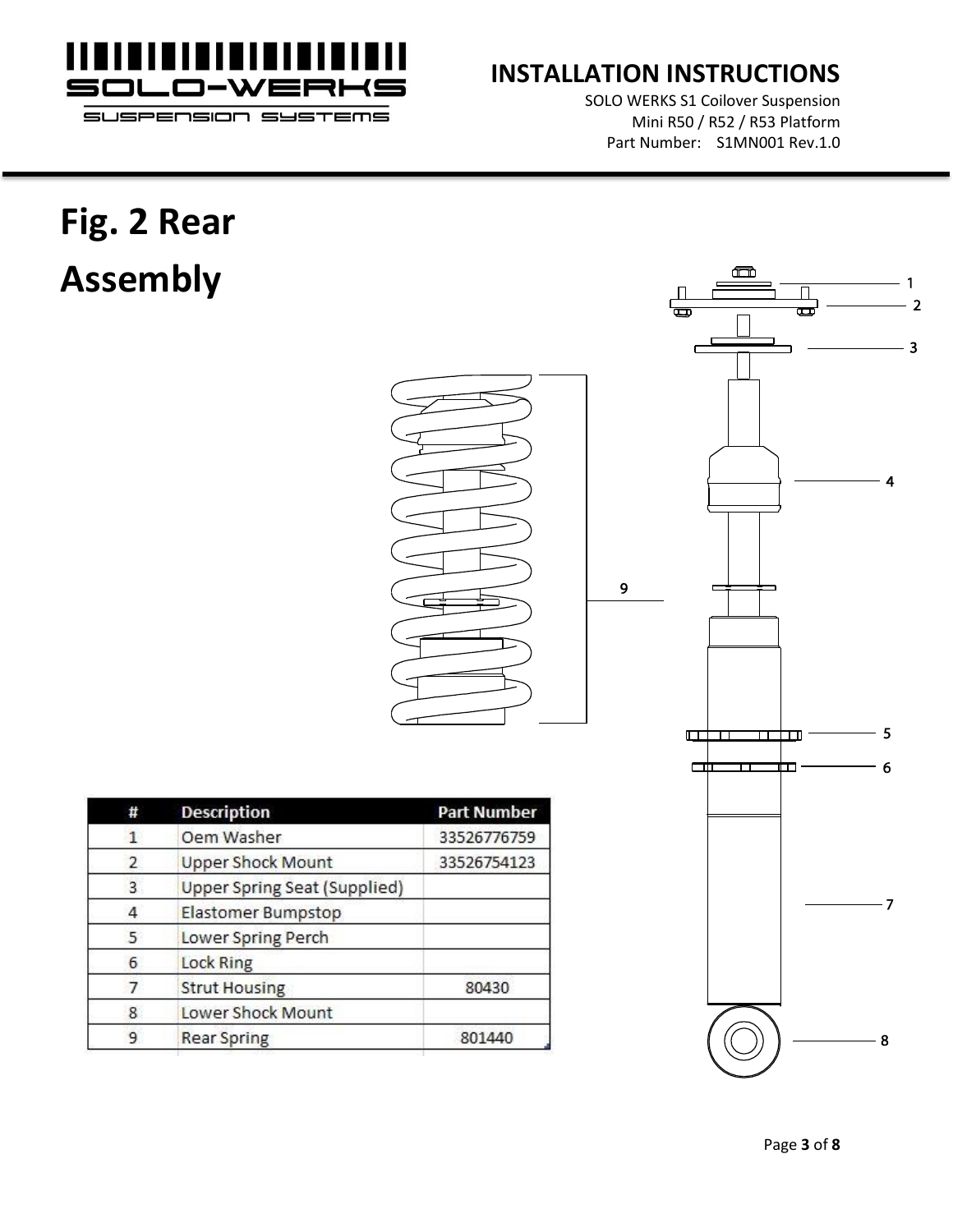

SOLO WERKS S1 Coilover Suspension Mini R50 / R52 / R53 Platform Part Number: S1MN001 Rev.1.0

# **Fig. 2 Rear Assembly**

|    |                            |   | $\blacksquare$<br>1<br>П<br>$\overline{\mathbf{2}}$<br>$\overline{\mathbf{C}}$<br>G<br>$\mathbf{3}$ |  |
|----|----------------------------|---|-----------------------------------------------------------------------------------------------------|--|
|    |                            | 9 | $\overline{4}$                                                                                      |  |
|    |                            |   | 5<br>$\Box$<br>◫<br>┱                                                                               |  |
|    |                            |   | $\boldsymbol{6}$<br>$\Box$<br>ᅲ<br>Ш                                                                |  |
|    | <b>Part Number</b>         |   |                                                                                                     |  |
|    | 33526776759<br>33526754123 |   |                                                                                                     |  |
| d) |                            |   |                                                                                                     |  |
|    |                            |   | $-7$                                                                                                |  |
|    | 80430                      |   |                                                                                                     |  |
|    | 801440                     |   | $-8$                                                                                                |  |

| #            | <b>Description</b>                  | <b>Part Number</b> |
|--------------|-------------------------------------|--------------------|
| $\mathbf{1}$ | Oem Washer                          | 33526776759        |
| 2            | <b>Upper Shock Mount</b>            | 33526754123        |
| 3            | <b>Upper Spring Seat (Supplied)</b> |                    |
| 4            | Elastomer Bumpstop                  |                    |
| 5            | Lower Spring Perch                  |                    |
| 6            | <b>Lock Ring</b>                    |                    |
| 7            | <b>Strut Housing</b>                | 80430              |
| 8            | Lower Shock Mount                   |                    |
| 9            | <b>Rear Spring</b>                  | 801440             |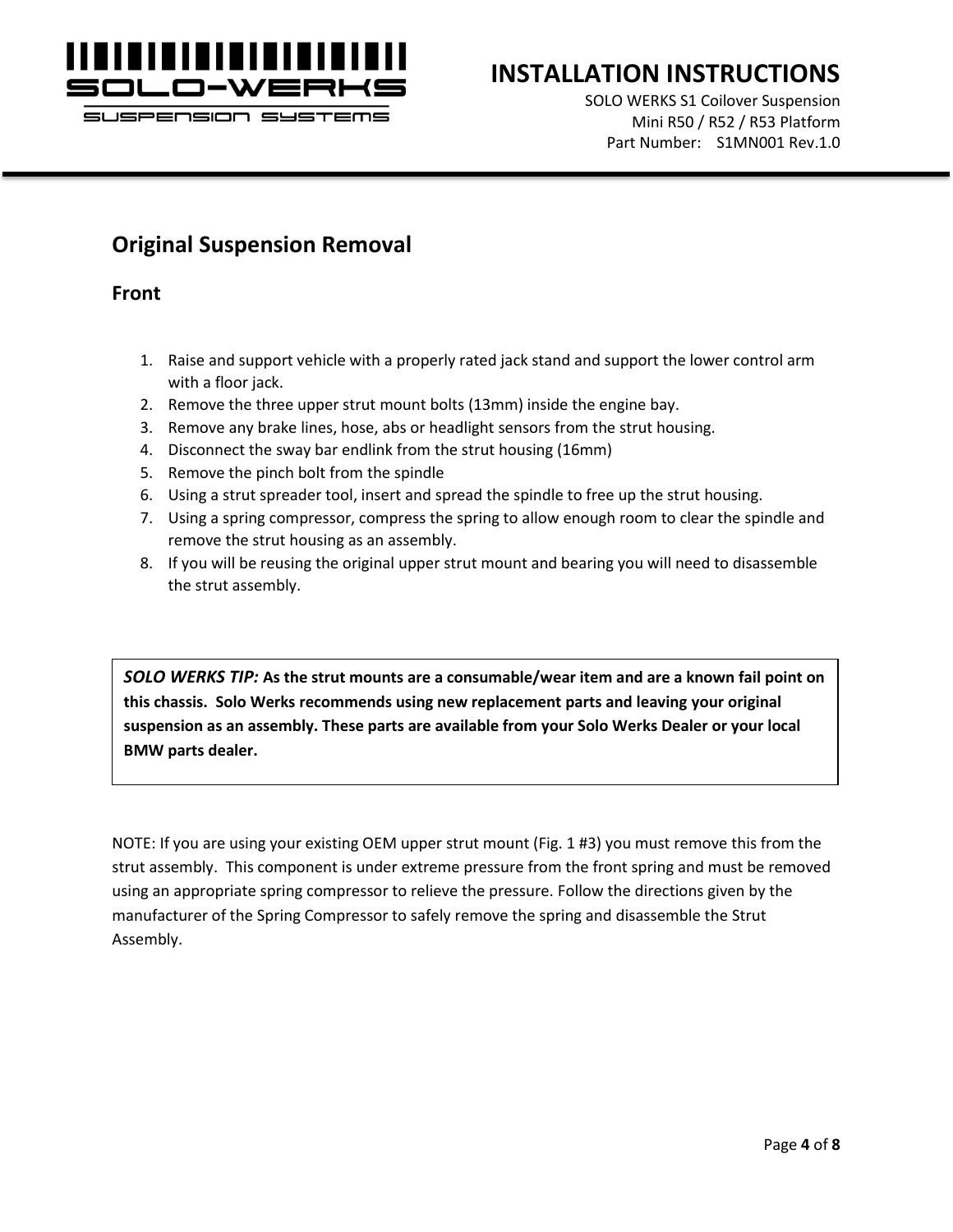

SOLO WERKS S1 Coilover Suspension Mini R50 / R52 / R53 Platform Part Number: S1MN001 Rev.1.0

# **Original Suspension Removal**

**Front**

- 1. Raise and support vehicle with a properly rated jack stand and support the lower control arm with a floor jack.
- 2. Remove the three upper strut mount bolts (13mm) inside the engine bay.
- 3. Remove any brake lines, hose, abs or headlight sensors from the strut housing.
- 4. Disconnect the sway bar endlink from the strut housing (16mm)
- 5. Remove the pinch bolt from the spindle
- 6. Using a strut spreader tool, insert and spread the spindle to free up the strut housing.
- 7. Using a spring compressor, compress the spring to allow enough room to clear the spindle and remove the strut housing as an assembly.
- 8. If you will be reusing the original upper strut mount and bearing you will need to disassemble the strut assembly.

*SOLO WERKS TIP:* **As the strut mounts are a consumable/wear item and are a known fail point on this chassis. Solo Werks recommends using new replacement parts and leaving your original suspension as an assembly. These parts are available from your Solo Werks Dealer or your local BMW parts dealer.**

NOTE: If you are using your existing OEM upper strut mount (Fig. 1 #3) you must remove this from the strut assembly. This component is under extreme pressure from the front spring and must be removed using an appropriate spring compressor to relieve the pressure. Follow the directions given by the manufacturer of the Spring Compressor to safely remove the spring and disassemble the Strut Assembly.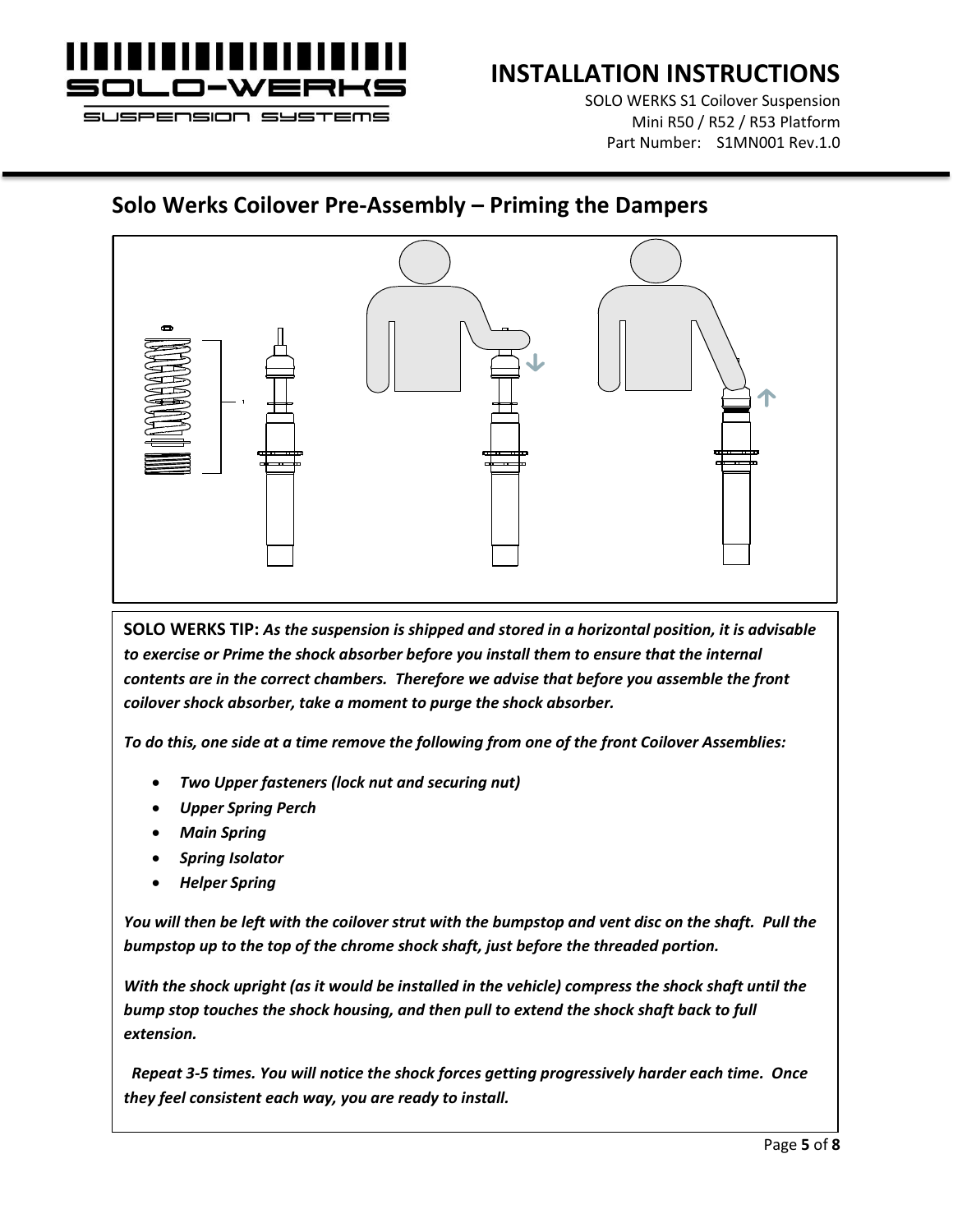

SOLO WERKS S1 Coilover Suspension Mini R50 / R52 / R53 Platform Part Number: S1MN001 Rev.1.0

### **Solo Werks Coilover Pre-Assembly – Priming the Dampers**



**SOLO WERKS TIP:** *As the suspension is shipped and stored in a horizontal position, it is advisable*  to exercise or Prime the shock absorber before you install them to ensure that the internal *contents are in the correct chambers. Therefore we advise that before you assemble the front coilover shock absorber, take a moment to purge the shock absorber.* 

*To do this, one side at a time remove the following from one of the front Coilover Assemblies:*

- *Two Upper fasteners (lock nut and securing nut)*
- *Upper Spring Perch*
- *Main Spring*
- *Spring Isolator*
- *Helper Spring*

*You will then be left with the coilover strut with the bumpstop and vent disc on the shaft. Pull the bumpstop up to the top of the chrome shock shaft, just before the threaded portion.* 

*With the shock upright (as it would be installed in the vehicle) compress the shock shaft until the bump stop touches the shock housing, and then pull to extend the shock shaft back to full extension.*

 *Repeat 3-5 times. You will notice the shock forces getting progressively harder each time. Once they feel consistent each way, you are ready to install.*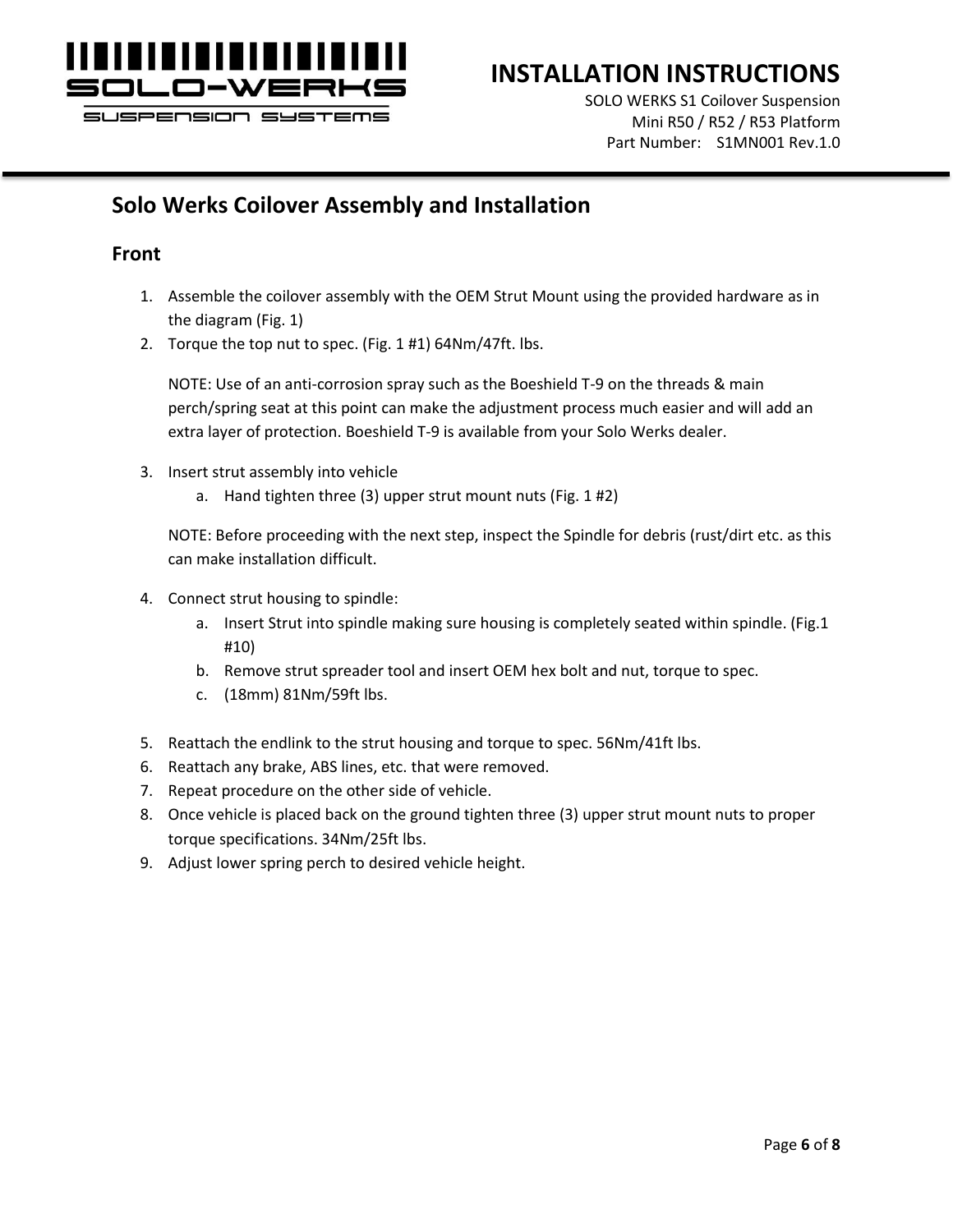

SOLO WERKS S1 Coilover Suspension Mini R50 / R52 / R53 Platform Part Number: S1MN001 Rev.1.0

# **Solo Werks Coilover Assembly and Installation**

#### **Front**

- 1. Assemble the coilover assembly with the OEM Strut Mount using the provided hardware as in the diagram (Fig. 1)
- 2. Torque the top nut to spec. (Fig. 1 #1) 64Nm/47ft. lbs.

NOTE: Use of an anti-corrosion spray such as the Boeshield T-9 on the threads & main perch/spring seat at this point can make the adjustment process much easier and will add an extra layer of protection. Boeshield T-9 is available from your Solo Werks dealer.

- 3. Insert strut assembly into vehicle
	- a. Hand tighten three (3) upper strut mount nuts (Fig. 1 #2)

NOTE: Before proceeding with the next step, inspect the Spindle for debris (rust/dirt etc. as this can make installation difficult.

- 4. Connect strut housing to spindle:
	- a. Insert Strut into spindle making sure housing is completely seated within spindle. (Fig.1 #10)
	- b. Remove strut spreader tool and insert OEM hex bolt and nut, torque to spec.
	- c. (18mm) 81Nm/59ft lbs.
- 5. Reattach the endlink to the strut housing and torque to spec. 56Nm/41ft lbs.
- 6. Reattach any brake, ABS lines, etc. that were removed.
- 7. Repeat procedure on the other side of vehicle.
- 8. Once vehicle is placed back on the ground tighten three (3) upper strut mount nuts to proper torque specifications. 34Nm/25ft lbs.
- 9. Adjust lower spring perch to desired vehicle height.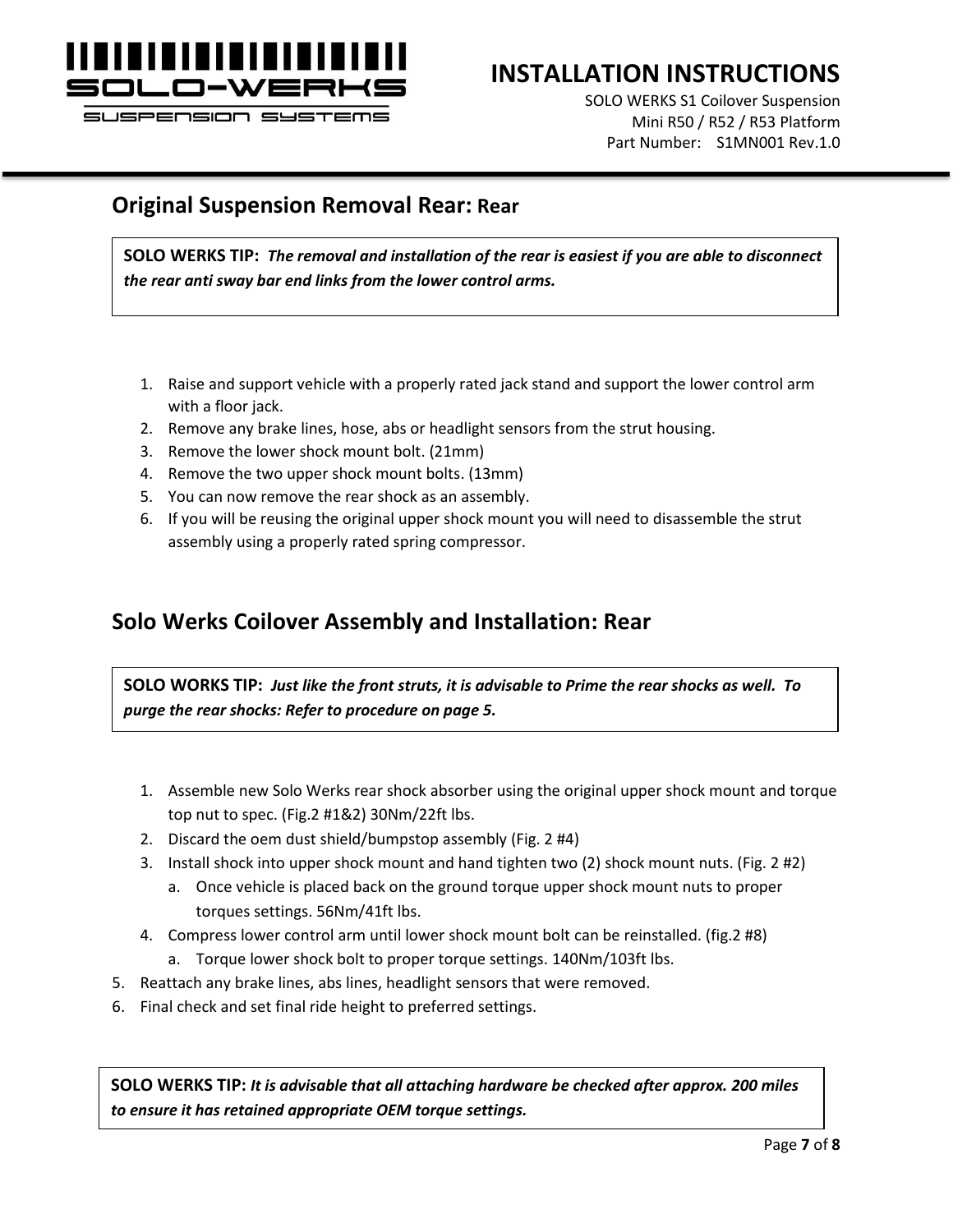

SUSPENSION SYSTEMS

# **INSTALLATION INSTRUCTIONS**

SOLO WERKS S1 Coilover Suspension Mini R50 / R52 / R53 Platform Part Number: S1MN001 Rev.1.0

#### **Original Suspension Removal Rear: Rear**

**SOLO WERKS TIP:** *The removal and installation of the rear is easiest if you are able to disconnect the rear anti sway bar end links from the lower control arms.*

- 1. Raise and support vehicle with a properly rated jack stand and support the lower control arm with a floor jack.
- 2. Remove any brake lines, hose, abs or headlight sensors from the strut housing.
- 3. Remove the lower shock mount bolt. (21mm)
- 4. Remove the two upper shock mount bolts. (13mm)
- 5. You can now remove the rear shock as an assembly.
- 6. If you will be reusing the original upper shock mount you will need to disassemble the strut assembly using a properly rated spring compressor.

## **Solo Werks Coilover Assembly and Installation: Rear**

**SOLO WORKS TIP:** *Just like the front struts, it is advisable to Prime the rear shocks as well. To purge the rear shocks: Refer to procedure on page 5.*

- 1. Assemble new Solo Werks rear shock absorber using the original upper shock mount and torque top nut to spec. (Fig.2 #1&2) 30Nm/22ft lbs.
- 2. Discard the oem dust shield/bumpstop assembly (Fig. 2 #4)
- 3. Install shock into upper shock mount and hand tighten two (2) shock mount nuts. (Fig. 2 #2)
	- a. Once vehicle is placed back on the ground torque upper shock mount nuts to proper torques settings. 56Nm/41ft lbs.
- 4. Compress lower control arm until lower shock mount bolt can be reinstalled. (fig.2 #8)
	- a. Torque lower shock bolt to proper torque settings. 140Nm/103ft lbs.
- 5. Reattach any brake lines, abs lines, headlight sensors that were removed.
- 6. Final check and set final ride height to preferred settings.

**SOLO WERKS TIP:** *It is advisable that all attaching hardware be checked after approx. 200 miles to ensure it has retained appropriate OEM torque settings.*